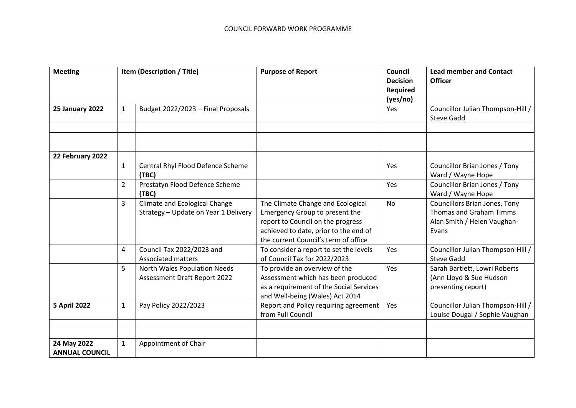| <b>Meeting</b>                       | Item (Description / Title) |                                                                       | <b>Purpose of Report</b>                                                                                                                                                                  | <b>Council</b><br><b>Decision</b><br><b>Required</b><br>(yes/no) | <b>Lead member and Contact</b><br><b>Officer</b>                                                        |
|--------------------------------------|----------------------------|-----------------------------------------------------------------------|-------------------------------------------------------------------------------------------------------------------------------------------------------------------------------------------|------------------------------------------------------------------|---------------------------------------------------------------------------------------------------------|
| <b>25 January 2022</b>               | $\mathbf{1}$               | Budget 2022/2023 - Final Proposals                                    |                                                                                                                                                                                           | Yes                                                              | Councillor Julian Thompson-Hill<br><b>Steve Gadd</b>                                                    |
|                                      |                            |                                                                       |                                                                                                                                                                                           |                                                                  |                                                                                                         |
| 22 February 2022                     |                            |                                                                       |                                                                                                                                                                                           |                                                                  |                                                                                                         |
|                                      | $\mathbf{1}$               | Central Rhyl Flood Defence Scheme<br>(TBC)                            |                                                                                                                                                                                           | Yes                                                              | Councillor Brian Jones / Tony<br>Ward / Wayne Hope                                                      |
|                                      | $\overline{2}$             | Prestatyn Flood Defence Scheme<br>(TBC)                               |                                                                                                                                                                                           | Yes                                                              | Councillor Brian Jones / Tony<br>Ward / Wayne Hope                                                      |
|                                      | 3                          | Climate and Ecological Change<br>Strategy - Update on Year 1 Delivery | The Climate Change and Ecological<br>Emergency Group to present the<br>report to Council on the progress<br>achieved to date, prior to the end of<br>the current Council's term of office | <b>No</b>                                                        | <b>Councillors Brian Jones, Tony</b><br>Thomas and Graham Timms<br>Alan Smith / Helen Vaughan-<br>Evans |
|                                      | 4                          | Council Tax 2022/2023 and<br><b>Associated matters</b>                | To consider a report to set the levels<br>of Council Tax for 2022/2023                                                                                                                    | Yes                                                              | Councillor Julian Thompson-Hill /<br><b>Steve Gadd</b>                                                  |
|                                      | 5                          | North Wales Population Needs<br>Assessment Draft Report 2022          | To provide an overview of the<br>Assessment which has been produced<br>as a requirement of the Social Services<br>and Well-being (Wales) Act 2014                                         | Yes                                                              | Sarah Bartlett, Lowri Roberts<br>(Ann Lloyd & Sue Hudson<br>presenting report)                          |
| <b>5 April 2022</b>                  | $\mathbf{1}$               | Pay Policy 2022/2023                                                  | Report and Policy requiring agreement<br>from Full Council                                                                                                                                | Yes                                                              | Councillor Julian Thompson-Hill /<br>Louise Dougal / Sophie Vaughan                                     |
| 24 May 2022<br><b>ANNUAL COUNCIL</b> | $\mathbf{1}$               | Appointment of Chair                                                  |                                                                                                                                                                                           |                                                                  |                                                                                                         |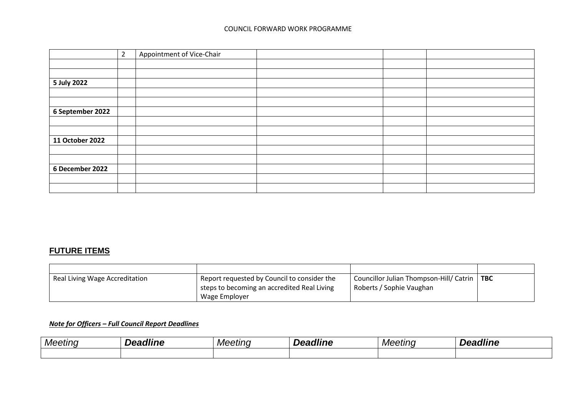## COUNCIL FORWARD WORK PROGRAMME

|                  | $\overline{2}$ | Appointment of Vice-Chair |  |  |
|------------------|----------------|---------------------------|--|--|
|                  |                |                           |  |  |
|                  |                |                           |  |  |
| 5 July 2022      |                |                           |  |  |
|                  |                |                           |  |  |
|                  |                |                           |  |  |
| 6 September 2022 |                |                           |  |  |
|                  |                |                           |  |  |
|                  |                |                           |  |  |
| 11 October 2022  |                |                           |  |  |
|                  |                |                           |  |  |
|                  |                |                           |  |  |
| 6 December 2022  |                |                           |  |  |
|                  |                |                           |  |  |
|                  |                |                           |  |  |

## **FUTURE ITEMS**

| Real Living Wage Accreditation | Report requested by Council to consider the | Councillor Julian Thompson-Hill/ Catrin   TBC |  |
|--------------------------------|---------------------------------------------|-----------------------------------------------|--|
|                                | steps to becoming an accredited Real Living | Roberts / Sophie Vaughan                      |  |
|                                | Wage Employer                               |                                               |  |

## *Note for Officers – Full Council Report Deadlines*

| Meetinc | <b>dline</b><br>"−<br>. | Meeting | ---<br>----<br>$\mathbf{m}$ | Meeting | ---<br>,,, |
|---------|-------------------------|---------|-----------------------------|---------|------------|
|         |                         |         |                             |         |            |